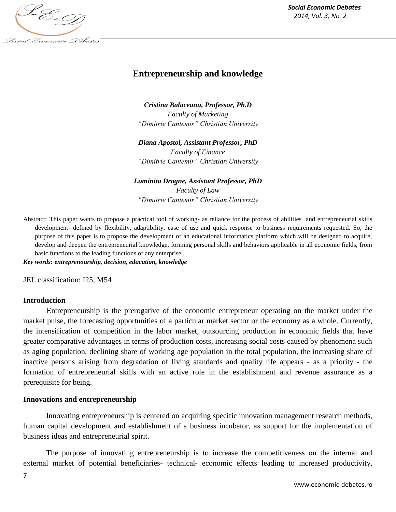

# **Entrepreneurship and knowledge**

*Cristina Balaceanu, Professor, Ph.D Faculty of Marketing "Dimitrie Cantemir" Christian University*

*Diana Apostol, Assistant Professor, PhD Faculty of Finance "Dimitrie Cantemir" Christian University*

#### *Luminita Dragne, Assistant Professor, PhD*

*Faculty of Law "Dimitrie Cantemir" Christian University*

Abstract: This paper wants to propose a practical tool of working**-** as reliance for the process of abilities and entrepreneurial skills development- defined by flexibility, adaptibility, ease of use and quick response to business requirements requested. So, the purpose of this paper is to propose the development of an educational informatics platform which will be designed to acquire, develop and deepen the entrepreneurial knowledge, forming personal skills and behaviors applicable in all economic fields, from basic functions to the leading functions of any enterprise.*.* 

*Key words: entreprenourship, decision, education, knowledge*

JEL classification: I25, M54

#### **Introduction**

Entrepreneurship is the prerogative of the economic entrepreneur operating on the market under the market pulse, the forecasting opportunities of a particular market sector or the economy as a whole. Currently, the intensification of competition in the labor market, outsourcing production in economic fields that have greater comparative advantages in terms of production costs, increasing social costs caused by phenomena such as aging population, declining share of working age population in the total population, the increasing share of inactive persons arising from degradation of living standards and quality life appears - as a priority - the formation of entrepreneurial skills with an active role in the establishment and revenue assurance as a prerequisite for being.

#### **Innovations and entrepreneurship**

Innovating entrepreneurship is centered on acquiring specific innovation management research methods, human capital development and establishment of a business incubator, as support for the implementation of business ideas and entrepreneurial spirit.

The purpose of innovating entrepreneurship is to increase the competitiveness on the internal and external market of potential beneficiaries- technical- economic effects leading to increased productivity,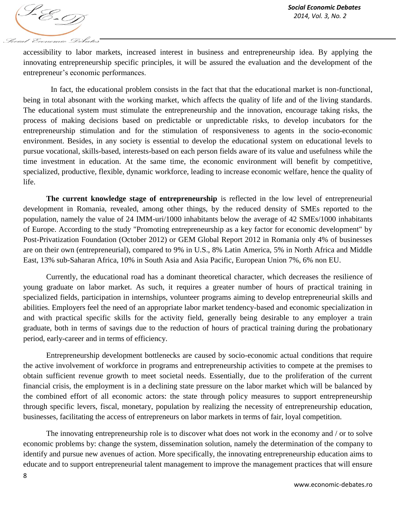accessibility to labor markets, increased interest in business and entrepreneurship idea. By applying the innovating entrepreneurship specific principles, it will be assured the evaluation and the development of the entrepreneur's economic performances.

In fact, the educational problem consists in the fact that that the educational market is non-functional, being in total absonant with the working market, which affects the quality of life and of the living standards. The educational system must stimulate the entrepreneurship and the innovation, encourage taking risks, the process of making decisions based on predictable or unpredictable risks, to develop incubators for the entrepreneurship stimulation and for the stimulation of responsiveness to agents in the socio-economic environment. Besides, in any society is essential to develop the educational system on educational levels to pursue vocational, skills-based, interests-based on each person fields aware of its value and usefulness while the time investment in education. At the same time, the economic environment will benefit by competitive, specialized, productive, flexible, dynamic workforce, leading to increase economic welfare, hence the quality of life.

**The current knowledge stage of entrepreneurship** is reflected in the low level of entrepreneurial development in Romania, revealed, among other things, by the reduced density of SMEs reported to the population, namely the value of 24 IMM-uri/1000 inhabitants below the average of 42 SMEs/1000 inhabitants of Europe. According to the study "Promoting entrepreneurship as a key factor for economic development" by Post-Privatization Foundation (October 2012) or GEM Global Report 2012 in Romania only 4% of businesses are on their own (entrepreneurial), compared to 9% in U.S., 8% Latin America, 5% in North Africa and Middle East, 13% sub-Saharan Africa, 10% in South Asia and Asia Pacific, European Union 7%, 6% non EU.

Currently, the educational road has a dominant theoretical character, which decreases the resilience of young graduate on labor market. As such, it requires a greater number of hours of practical training in specialized fields, participation in internships, volunteer programs aiming to develop entrepreneurial skills and abilities. Employers feel the need of an appropriate labor market tendency-based and economic specialization in and with practical specific skills for the activity field, generally being desirable to any employer a train graduate, both in terms of savings due to the reduction of hours of practical training during the probationary period, early-career and in terms of efficiency.

Entrepreneurship development bottlenecks are caused by socio-economic actual conditions that require the active involvement of workforce in programs and entrepreneurship activities to compete at the premises to obtain sufficient revenue growth to meet societal needs. Essentially, due to the proliferation of the current financial crisis, the employment is in a declining state pressure on the labor market which will be balanced by the combined effort of all economic actors: the state through policy measures to support entrepreneurship through specific levers, fiscal, monetary, population by realizing the necessity of entrepreneurship education, businesses, facilitating the access of entrepreneurs on labor markets in terms of fair, loyal competition.

The innovating entrepreneurship role is to discover what does not work in the economy and / or to solve economic problems by: change the system, dissemination solution, namely the determination of the company to identify and pursue new avenues of action. More specifically, the innovating entrepreneurship education aims to educate and to support entrepreneurial talent management to improve the management practices that will ensure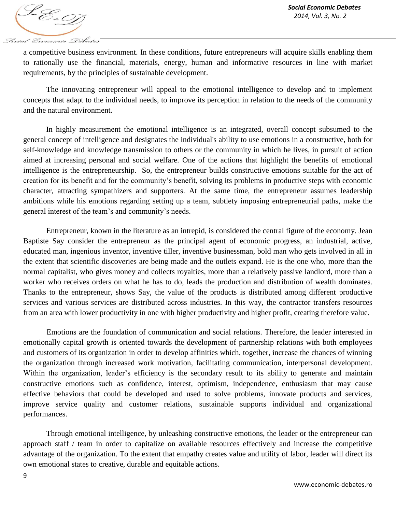S-E-D Social Economic Debates

a competitive business environment. In these conditions, future entrepreneurs will acquire skills enabling them to rationally use the financial, materials, energy, human and informative resources in line with market requirements, by the principles of sustainable development.

The innovating entrepreneur will appeal to the emotional intelligence to develop and to implement concepts that adapt to the individual needs, to improve its perception in relation to the needs of the community and the natural environment.

In highly measurement the emotional intelligence is an integrated, overall concept subsumed to the general concept of intelligence and designates the individual's ability to use emotions in a constructive, both for self-knowledge and knowledge transmission to others or the community in which he lives, in pursuit of action aimed at increasing personal and social welfare. One of the actions that highlight the benefits of emotional intelligence is the entrepreneurship. So, the entrepreneur builds constructive emotions suitable for the act of creation for its benefit and for the community's benefit, solving its problems in productive steps with economic character, attracting sympathizers and supporters. At the same time, the entrepreneur assumes leadership ambitions while his emotions regarding setting up a team, subtlety imposing entrepreneurial paths, make the general interest of the team's and community's needs.

Entrepreneur, known in the literature as an intrepid, is considered the central figure of the economy. Jean Baptiste Say consider the entrepreneur as the principal agent of economic progress, an industrial, active, educated man, ingenious inventor, inventive tiller, inventive businessman, bold man who gets involved in all in the extent that scientific discoveries are being made and the outlets expand. He is the one who, more than the normal capitalist, who gives money and collects royalties, more than a relatively passive landlord, more than a worker who receives orders on what he has to do, leads the production and distribution of wealth dominates. Thanks to the entrepreneur, shows Say, the value of the products is distributed among different productive services and various services are distributed across industries. In this way, the contractor transfers resources from an area with lower productivity in one with higher productivity and higher profit, creating therefore value.

Emotions are the foundation of communication and social relations. Therefore, the leader interested in emotionally capital growth is oriented towards the development of partnership relations with both employees and customers of its organization in order to develop affinities which, together, increase the chances of winning the organization through increased work motivation, facilitating communication, interpersonal development. Within the organization, leader's efficiency is the secondary result to its ability to generate and maintain constructive emotions such as confidence, interest, optimism, independence, enthusiasm that may cause effective behaviors that could be developed and used to solve problems, innovate products and services, improve service quality and customer relations, sustainable supports individual and organizational performances.

Through emotional intelligence, by unleashing constructive emotions, the leader or the entrepreneur can approach staff / team in order to capitalize on available resources effectively and increase the competitive advantage of the organization. To the extent that empathy creates value and utility of labor, leader will direct its own emotional states to creative, durable and equitable actions.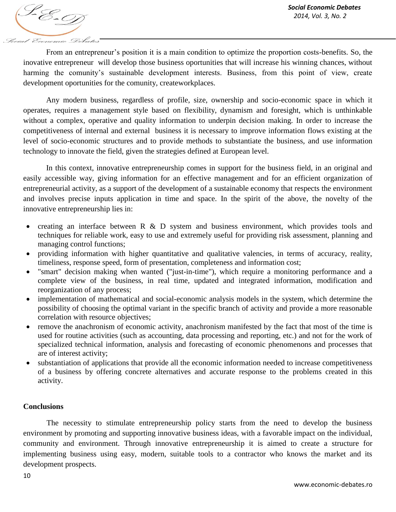S-E-D Social Economic Debates

From an entrepreneur's position it is a main condition to optimize the proportion costs-benefits. So, the inovative entrepreneur will develop those business oportunities that will increase his winning chances, without harming the comunity's sustainable development interests. Business, from this point of view, create development oportunities for the comunity, createworkplaces.

Any modern business, regardless of profile, size, ownership and socio-economic space in which it operates, requires a management style based on flexibility, dynamism and foresight, which is unthinkable without a complex, operative and quality information to underpin decision making. In order to increase the competitiveness of internal and external business it is necessary to improve information flows existing at the level of socio-economic structures and to provide methods to substantiate the business, and use information technology to innovate the field, given the strategies defined at European level.

In this context, innovative entrepreneurship comes in support for the business field, in an original and easily accessible way, giving information for an effective management and for an efficient organization of entrepreneurial activity, as a support of the development of a sustainable economy that respects the environment and involves precise inputs application in time and space. In the spirit of the above, the novelty of the innovative entrepreneurship lies in:

- creating an interface between R & D system and business environment, which provides tools and techniques for reliable work, easy to use and extremely useful for providing risk assessment, planning and managing control functions;
- providing information with higher quantitative and qualitative valencies, in terms of accuracy, reality, timeliness, response speed, form of presentation, completeness and information cost;
- "smart" decision making when wanted ("just-in-time"), which require a monitoring performance and a complete view of the business, in real time, updated and integrated information, modification and reorganization of any process;
- implementation of mathematical and social-economic analysis models in the system, which determine the possibility of choosing the optimal variant in the specific branch of activity and provide a more reasonable correlation with resource objectives;
- remove the anachronism of economic activity, anachronism manifested by the fact that most of the time is used for routine activities (such as accounting, data processing and reporting, etc.) and not for the work of specialized technical information, analysis and forecasting of economic phenomenons and processes that are of interest activity;
- substantiation of applications that provide all the economic information needed to increase competitiveness of a business by offering concrete alternatives and accurate response to the problems created in this activity.

## **Conclusions**

The necessity to stimulate entrepreneurship policy starts from the need to develop the business environment by promoting and supporting innovative business ideas, with a favorable impact on the individual, community and environment. Through innovative entrepreneurship it is aimed to create a structure for implementing business using easy, modern, suitable tools to a contractor who knows the market and its development prospects.